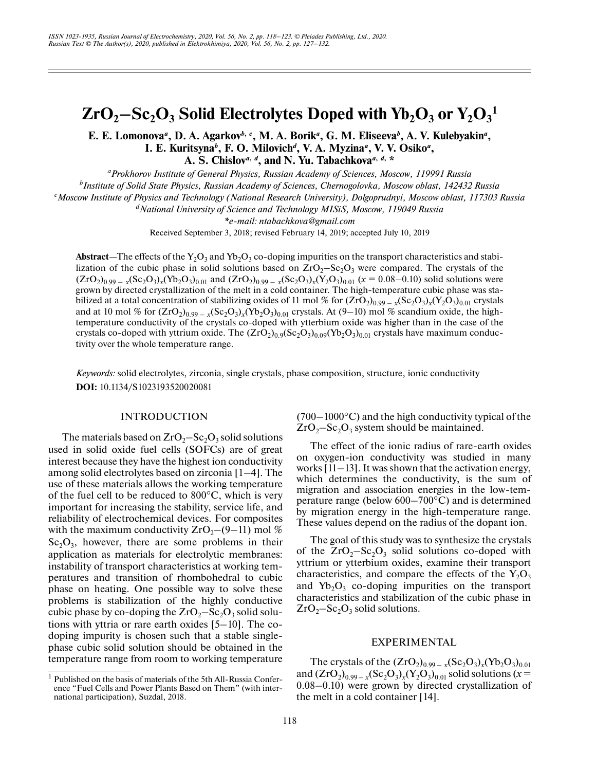# $\rm ZrO_2{-}Sc_2O_3$  Solid Electrolytes Doped with  $\rm Yb_2O_3$  or  $\rm Y_2O_3^{-1}$

E. E. Lomonova<sup>*a*</sup>, D. A. Agarkov<sup>*b*, *c*</sup>, M. A. Borik<sup>*a*</sup>, G. M. Eliseeva<sup>*b*</sup>, A. V. Kulebyakin<sup>*a*</sup>, **I. E. Kuritsyna***<sup>b</sup>* **, F. O. Milovich***<sup>d</sup>***, V. A. Myzina***<sup>a</sup>* **, V. V. Osiko***<sup>a</sup>***,** A. S. Chislov<sup>*a*, *d*</sup>, and N. Yu. Tabachkova<sup>*a*, *d*, \*</sup>

*aProkhorov Institute of General Physics, Russian Academy of Sciences, Moscow, 119991 Russia*

*b Institute of Solid State Physics, Russian Academy of Sciences, Chernogolovka, Moscow oblast, 142432 Russia*

*c Moscow Institute of Physics and Technology (National Research University), Dolgoprudnyi, Moscow oblast, 117303 Russia*

*dNational University of Science and Technology MISiS, Moscow, 119049 Russia*

*\*e-mail: ntabachkova@gmail.com*

Received September 3, 2018; revised February 14, 2019; accepted July 10, 2019

Abstract—The effects of the Y<sub>2</sub>O<sub>3</sub> and Yb<sub>2</sub>O<sub>3</sub> co-doping impurities on the transport characteristics and stabilization of the cubic phase in solid solutions based on  $ZrO_2-Sc_2O_3$  were compared. The crystals of the  $(ZrO_2)_{0.99-x}$   $(xSc_2O_3)_x$  (Yb<sub>2</sub>O<sub>3</sub>)<sub>0.01</sub> and  $(ZrO_2)_{0.99-x}$   $(xSc_2O_3)_x$  (Y<sub>2</sub>O<sub>3</sub>)<sub>0.01</sub> ( $x = 0.08-0.10$ ) solid solutions were grown by directed crystallization of the melt in a cold container. The high-temperature cubic phase was stabilized at a total concentration of stabilizing oxides of 11 mol % for  $(ZrO_{2})_{0.99-x}(Sc_{2}O_{3})_{x}(Y_{2}O_{3})_{0.01}$  crystals and at 10 mol % for  $(\text{ZrO}_2)_{0.99}$  –  $_X(\text{Sc}_2\text{O}_3)_X(\text{Yb}_2\text{O}_3)_{0.01}$  crystals. At (9–10) mol % scandium oxide, the hightemperature conductivity of the crystals co-doped with ytterbium oxide was higher than in the case of the crystals co-doped with yttrium oxide. The  $(ZrO<sub>2</sub>)<sub>0.9</sub>(Sc<sub>2</sub>O<sub>3</sub>)<sub>0.09</sub>(Yb<sub>2</sub>O<sub>3</sub>)<sub>0.01</sub>$  crystals have maximum conductivity over the whole temperature range.

*Keywords:* solid electrolytes, zirconia, single crystals, phase composition, structure, ionic conductivity **DOI:** 10.1134/S1023193520020081

# INTRODUCTION

The materials based on  $ZrO<sub>2</sub>$ –Sc<sub>2</sub>O<sub>3</sub> solid solutions used in solid oxide fuel cells (SOFCs) are of great interest because they have the highest ion conductivity among solid electrolytes based on zirconia [1–4]. The use of these materials allows the working temperature of the fuel cell to be reduced to  $800^{\circ}$ C, which is very important for increasing the stability, service life, and reliability of electrochemical devices. For composites with the maximum conductivity  $ZrO_2-(9-11)$  mol %  $Sc_2O_3$ , however, there are some problems in their application as materials for electrolytic membranes: instability of transport characteristics at working temperatures and transition of rhombohedral to cubic phase on heating. One possible way to solve these problems is stabilization of the highly conductive cubic phase by co-doping the  $ZrO_2-Sc_2O_3$  solid solutions with yttria or rare earth oxides [5–10]. The codoping impurity is chosen such that a stable singlephase cubic solid solution should be obtained in the temperature range from room to working temperature  $(700-1000\degree C)$  and the high conductivity typical of the  $ZrO<sub>2</sub> - Sc<sub>2</sub>O<sub>3</sub>$  system should be maintained.

The effect of the ionic radius of rare-earth oxides on oxygen-ion conductivity was studied in many works  $[11-13]$ . It was shown that the activation energy, which determines the conductivity, is the sum of migration and association energies in the low-temperature range (below 600–700°C) and is determined by migration energy in the high-temperature range. These values depend on the radius of the dopant ion.

The goal of this study was to synthesize the crystals of the  $ZrO_2-Sc_2O_3$  solid solutions co-doped with yttrium or ytterbium oxides, examine their transport characteristics, and compare the effects of the  $Y_2O_3$ and  $Yb_2O_3$  co-doping impurities on the transport characteristics and stabilization of the cubic phase in  $ZrO<sub>2</sub> - Sc<sub>2</sub>O<sub>3</sub>$  solid solutions.

# EXPERIMENTAL

The crystals of the  $(ZrO_2)_{0.99-x} (Sc_2O_3)_x (Yb_2O_3)_{0.01}$ and  $(ZrO_2)_{0.99-x}(Sc_2O_3)_x(Y_2O_3)_{0.01}$  solid solutions (*x* = 0.08–0.10) were grown by directed crystallization of the melt in a cold container [14].

<sup>&</sup>lt;sup>1</sup> Published on the basis of materials of the 5th All-Russia Conference "Fuel Cells and Power Plants Based on Them" (with international participation), Suzdal, 2018.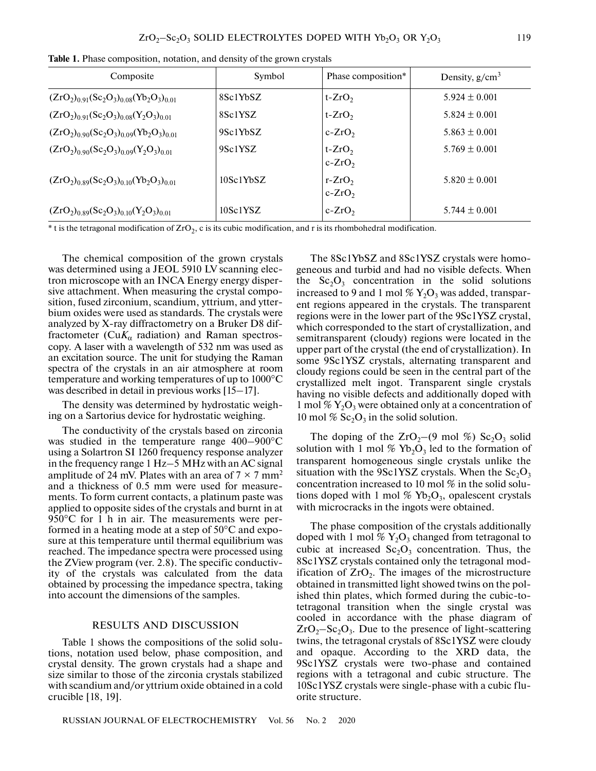| Composite                                             | Symbol                | Phase composition*   | Density, $g/cm^3$ |
|-------------------------------------------------------|-----------------------|----------------------|-------------------|
| $(ZrO2)0.91(Sc2O3)0.08(Yb2O3)0.01$                    | 8Sc1YbSZ              | $t-ZrO2$             | $5.924 \pm 0.001$ |
| $(ZrO2)0.91(Sc2O3)0.08(Y2O3)0.01$                     | 8Sc1YSZ               | $t-ZrO2$             | $5.824 + 0.001$   |
| $(ZrO2)0.90(Sc2O3)0.09(Yb2O3)0.01$                    | 9Sc1YbSZ              | $c-ZrO2$             | $5.863 \pm 0.001$ |
| $(ZrO2)0.90(Sc2O3)0.09(Y2O3)0.01$                     | 9Sc1YSZ               | $t-ZrO2$<br>$c-ZrO2$ | $5.769 \pm 0.001$ |
| $(ZrO2)0.89(Sc2O3)0.10(Yb2O3)0.01$                    | 10Sc1YbSZ             | $r-ZrO2$<br>$c-ZrO2$ | $5.820 \pm 0.001$ |
| $(ZrO_2)_{0.89}$ $(Sc_2O_3)_{0.10}$ $(Y_2O_3)_{0.01}$ | 10Sc1 <sub>Y</sub> SZ | $c-ZrO2$             | $5.744 \pm 0.001$ |

**Table 1.** Phase composition, notation, and density of the grown crystals

\* t is the tetragonal modification of  $ZrO_2$ , c is its cubic modification, and r is its rhombohedral modification.

The chemical composition of the grown crystals was determined using a JEOL 5910 LV scanning electron microscope with an INCA Energy energy dispersive attachment. When measuring the crystal composition, fused zirconium, scandium, yttrium, and ytterbium oxides were used as standards. The crystals were analyzed by X-ray diffractometry on a Bruker D8 diffractometer (Cu $K_{\alpha}$  radiation) and Raman spectroscopy. A laser with a wavelength of 532 nm was used as an excitation source. The unit for studying the Raman spectra of the crystals in an air atmosphere at room temperature and working temperatures of up to 1000°С was described in detail in previous works [15–17].

The density was determined by hydrostatic weighing on a Sartorius device for hydrostatic weighing.

The conductivity of the crystals based on zirconia was studied in the temperature range 400–900°C using a Solartron SI 1260 frequency response analyzer in the frequency range 1 Hz–5 MHz with an AC signal amplitude of 24 mV. Plates with an area of  $7 \times 7$  mm<sup>2</sup> and a thickness of 0.5 mm were used for measurements. To form current contacts, a platinum paste was applied to opposite sides of the crystals and burnt in at 950°C for 1 h in air. The measurements were performed in a heating mode at a step of 50°C and exposure at this temperature until thermal equilibrium was reached. The impedance spectra were processed using the ZView program (ver. 2.8). The specific conductivity of the crystals was calculated from the data obtained by processing the impedance spectra, taking into account the dimensions of the samples.

### RESULTS AND DISCUSSION

Table 1 shows the compositions of the solid solutions, notation used below, phase composition, and crystal density. The grown crystals had a shape and size similar to those of the zirconia crystals stabilized with scandium and/or yttrium oxide obtained in a cold crucible [18, 19].

The 8Sc1YbSZ and 8Sc1YSZ crystals were homogeneous and turbid and had no visible defects. When the  $Sc_2O_3$  concentration in the solid solutions increased to 9 and 1 mol  $\%$  Y<sub>2</sub>O<sub>3</sub> was added, transparent regions appeared in the crystals. The transparent regions were in the lower part of the 9Sc1YSZ crystal, which corresponded to the start of crystallization, and semitransparent (cloudy) regions were located in the upper part of the crystal (the end of crystallization). In some 9Sc1YSZ crystals, alternating transparent and cloudy regions could be seen in the central part of the crystallized melt ingot. Transparent single crystals having no visible defects and additionally doped with 1 mol  $\%$  Y<sub>2</sub>O<sub>3</sub> were obtained only at a concentration of 10 mol %  $Sc_2O_3$  in the solid solution.

The doping of the  $ZrO_2$ –(9 mol %) Sc<sub>2</sub>O<sub>3</sub> solid solution with 1 mol  $\%$  Yb<sub>2</sub>O<sub>3</sub> led to the formation of transparent homogeneous single crystals unlike the situation with the 9Sc1YSZ crystals. When the  $Sc_2O_3$ concentration increased to 10 mol % in the solid solutions doped with 1 mol  $\%$  Yb<sub>2</sub>O<sub>3</sub>, opalescent crystals with microcracks in the ingots were obtained.

The phase composition of the crystals additionally doped with 1 mol  $\%$  Y<sub>2</sub>O<sub>3</sub> changed from tetragonal to cubic at increased  $Sc_2O_3$  concentration. Thus, the 8Sc1YSZ crystals contained only the tetragonal modification of  $ZrO<sub>2</sub>$ . The images of the microstructure obtained in transmitted light showed twins on the polished thin plates, which formed during the cubic-totetragonal transition when the single crystal was cooled in accordance with the phase diagram of  $ZrO<sub>2</sub> - Sc<sub>2</sub>O<sub>3</sub>$ . Due to the presence of light-scattering twins, the tetragonal crystals of 8Sc1YSZ were cloudy and opaque. According to the XRD data, the 9Sc1YSZ crystals were two-phase and contained regions with a tetragonal and cubic structure. The 10Sc1YSZ crystals were single-phase with a cubic fluorite structure.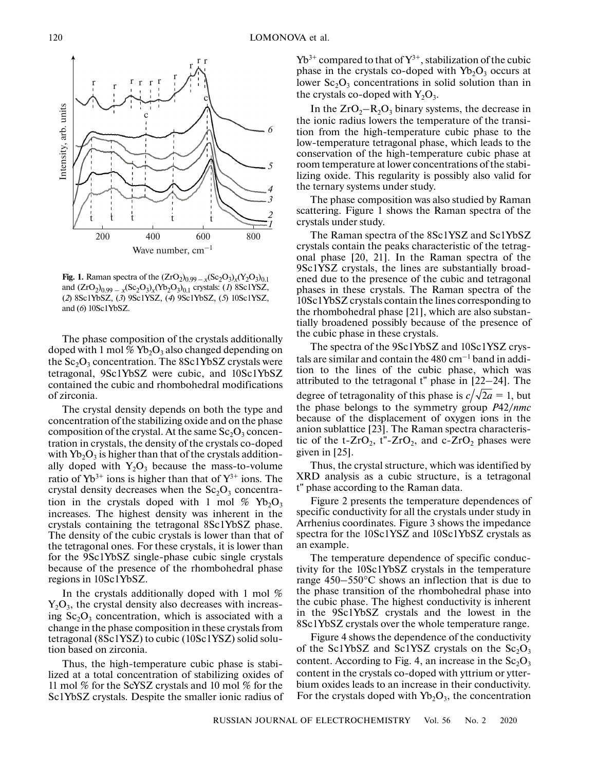

**Fig. 1.** Raman spectra of the  $(ZrO_{2})_{0.99-x}(Sc_{2}O_{3})_{x}(Y_{2}O_{3})_{0.1}$ and  $(ZrO_2)_{0.99 - x} (Sc_2O_3)_x (Yb_2O_3)_{0.1}$  crystals: (*1*) 8Sc1YSZ, (*2*) 8Sc1YbSZ, (*3*) 9Sc1YSZ, (*4*) 9Sc1YbSZ, (*5*) 10Sc1YSZ, and (*6*) 10Sc1YbSZ.

The phase composition of the crystals additionally doped with 1 mol  $\%$  Yb<sub>2</sub>O<sub>3</sub> also changed depending on the  $Sc_2O_3$  concentration. The  $8Sc1YbSZ$  crystals were tetragonal, 9Sc1YbSZ were cubic, and 10Sc1YbSZ contained the cubic and rhombohedral modifications of zirconia.

The crystal density depends on both the type and concentration of the stabilizing oxide and on the phase composition of the crystal. At the same  $Sc_2O_3$  concentration in crystals, the density of the crystals co-doped with  $Yb_2O_3$  is higher than that of the crystals additionally doped with  $Y_2O_3$  because the mass-to-volume ratio of  $Yb^{3+}$  ions is higher than that of  $Y^{3+}$  ions. The crystal density decreases when the  $Sc_2O_3$  concentration in the crystals doped with 1 mol  $\%$  Yb<sub>2</sub>O<sub>3</sub> increases. The highest density was inherent in the crystals containing the tetragonal 8Sc1YbSZ phase. The density of the cubic crystals is lower than that of the tetragonal ones. For these crystals, it is lower than for the 9Sc1YbSZ single-phase cubic single crystals because of the presence of the rhombohedral phase regions in 10Sc1YbSZ.

In the crystals additionally doped with 1 mol %  $Y_2O_3$ , the crystal density also decreases with increasing  $Sc_2O_3$  concentration, which is associated with a change in the phase composition in these crystals from tetragonal (8Sc1YSZ) to cubic (10Sc1YSZ) solid solution based on zirconia.

Thus, the high-temperature cubic phase is stabilized at a total concentration of stabilizing oxides of 11 mol % for the ScYSZ crystals and 10 mol % for the Sc1YbSZ crystals. Despite the smaller ionic radius of  $Yb^{3+}$  compared to that of  $Y^{3+}$ , stabilization of the cubic phase in the crystals co-doped with  $Yb_2O_3$  occurs at lower  $Sc_2O_3$  concentrations in solid solution than in the crystals co-doped with  $Y_2O_3$ .

In the  $ZrO_2-R_2O_3$  binary systems, the decrease in the ionic radius lowers the temperature of the transition from the high-temperature cubic phase to the low-temperature tetragonal phase, which leads to the conservation of the high-temperature cubic phase at room temperature at lower concentrations of the stabilizing oxide. This regularity is possibly also valid for the ternary systems under study.

The phase composition was also studied by Raman scattering. Figure 1 shows the Raman spectra of the crystals under study.

The Raman spectra of the 8Sc1YSZ and Sc1YbSZ crystals contain the peaks characteristic of the tetragonal phase [20, 21]. In the Raman spectra of the 9Sc1YSZ crystals, the lines are substantially broadened due to the presence of the cubic and tetragonal phases in these crystals. The Raman spectra of the 10Sc1YbSZ crystals contain the lines corresponding to the rhombohedral phase [21], which are also substantially broadened possibly because of the presence of the cubic phase in these crystals.

The spectra of the 9Sc1YbSZ and 10Sc1YSZ crystals are similar and contain the  $480 \text{ cm}^{-1}$  band in addition to the lines of the cubic phase, which was attributed to the tetragonal t" phase in [22–24]. The degree of tetragonality of this phase is  $c/\sqrt{2a} = 1$ , but the phase belongs to the symmetry group *P*42/*nmc* because of the displacement of oxygen ions in the anion sublattice [23]. The Raman spectra characteristic of the t- $ZrO_2$ , t"- $ZrO_2$ , and c- $ZrO_2$  phases were given in [25].

Thus, the crystal structure, which was identified by XRD analysis as a cubic structure, is a tetragonal t" phase according to the Raman data.

Figure 2 presents the temperature dependences of specific conductivity for all the crystals under study in Arrhenius coordinates. Figure 3 shows the impedance spectra for the 10Sc1YSZ and 10Sc1YbSZ crystals as an example.

The temperature dependence of specific conductivity for the 10Sc1YbSZ crystals in the temperature range 450–550°С shows an inflection that is due to the phase transition of the rhombohedral phase into the cubic phase. The highest conductivity is inherent in the 9Sc1YbSZ crystals and the lowest in the 8Sc1YbSZ crystals over the whole temperature range.

Figure 4 shows the dependence of the conductivity of the Sc1YbSZ and Sc1YSZ crystals on the  $Sc_2O_3$ content. According to Fig. 4, an increase in the  $Sc_2O_3$ content in the crystals co-doped with yttrium or ytterbium oxides leads to an increase in their conductivity. For the crystals doped with  $Yb_2O_3$ , the concentration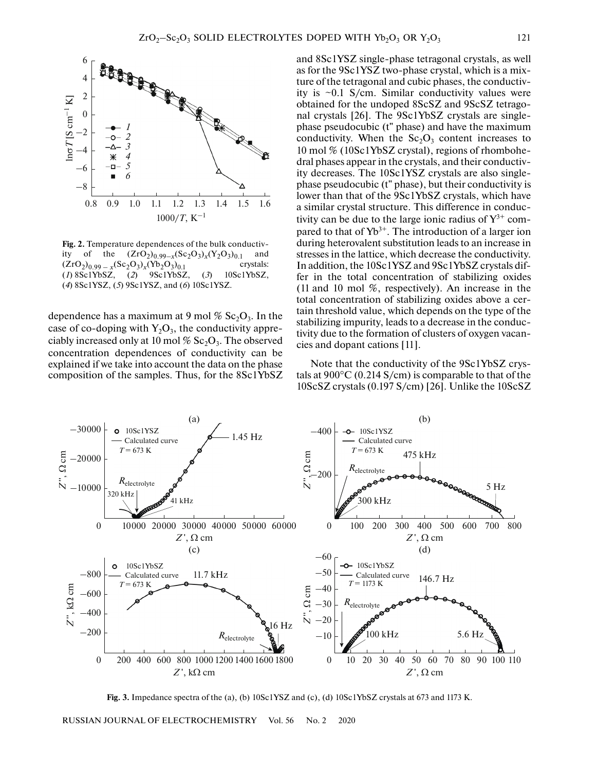

**Fig. 2.** Temperature dependences of the bulk conductivity of the  $(ZrO_2)_{0.99-x}(Sc_2O_3)_x(Y_2O_3)_{0.1}$  and  $(ZrO_2)_{0.99-x}(Sc_2O_3)_x(Y_2O_3)_{0.1}$  crystals:  $(ZrO_2)_{0.99-x}(Sc_2O_3)_x(Yb_2O_3)_{0.1}$  crystals:<br>(*I*) 8Sc1YbSZ, (*2*) 9Sc1YbSZ, (*3*) 10Sc1YbSZ,  $(1)$  8Sc1YbSZ,  $(2)$ (*4*) 8Sc1YSZ, (*5*) 9Sc1YSZ, and (*6*) 10Sc1YSZ.

dependence has a maximum at 9 mol  $\%$  Sc<sub>2</sub>O<sub>3</sub>. In the case of co-doping with  $Y_2O_3$ , the conductivity appreciably increased only at 10 mol %  $Sc_2O_3$ . The observed concentration dependences of conductivity can be explained if we take into account the data on the phase composition of the samples. Thus, for the 8Sc1YbSZ and 8Sc1YSZ single-phase tetragonal crystals, as well as for the 9Sc1YSZ two-phase crystal, which is a mixture of the tetragonal and cubic phases, the conductivity is  $\sim 0.1$  S/cm. Similar conductivity values were obtained for the undoped 8ScSZ and 9ScSZ tetragonal crystals [26]. The 9Sc1YbSZ crystals are singlephase pseudocubic (t" phase) and have the maximum conductivity. When the  $Sc_2O_3$  content increases to 10 mol % (10Sc1YbSZ crystal), regions of rhombohedral phases appear in the crystals, and their conductivity decreases. The 10Sc1YSZ crystals are also singlephase pseudocubic (t" phase), but their conductivity is lower than that of the 9Sc1YbSZ crystals, which have a similar crystal structure. This difference in conductivity can be due to the large ionic radius of  $Y^{3+}$  compared to that of  $Yb^{3+}$ . The introduction of a larger ion during heterovalent substitution leads to an increase in stresses in the lattice, which decrease the conductivity. In addition, the 10Sc1YSZ and 9Sc1YbSZ crystals differ in the total concentration of stabilizing oxides (11 and 10 mol %, respectively). An increase in the total concentration of stabilizing oxides above a certain threshold value, which depends on the type of the stabilizing impurity, leads to a decrease in the conductivity due to the formation of clusters of oxygen vacancies and dopant cations [11].

Note that the conductivity of the 9Sc1YbSZ crystals at 900°С (0.214 S/cm) is comparable to that of the 10ScSZ crystals (0.197 S/cm) [26]. Unlike the 10ScSZ



**Fig. 3.** Impedance spectra of the (a), (b) 10Sc1YSZ and (c), (d) 10Sc1YbSZ crystals at 673 and 1173 K.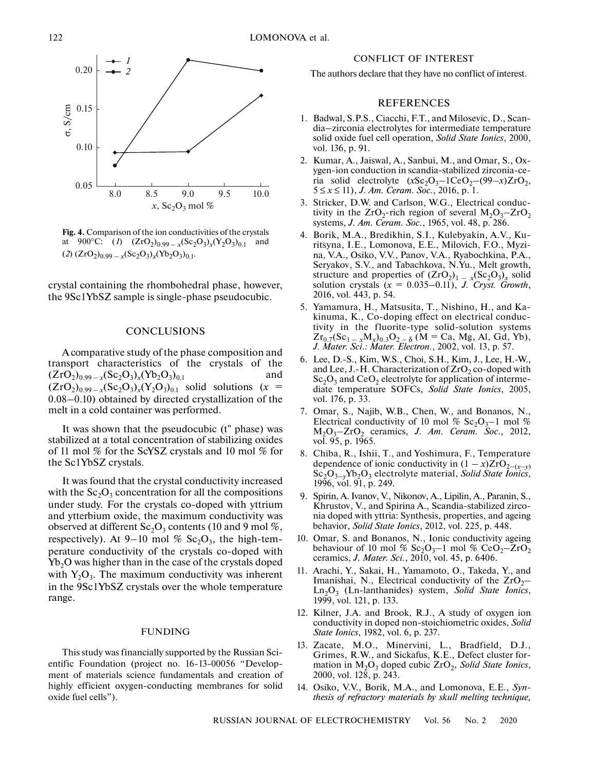

**Fig. 4.** Comparison of the ion conductivities of the crystals at 900°C: (*1*)  $(ZrO_2)_{0.99-x}(Sc_2O_3)_x(Y_2O_3)_{0.1}$  and  $(2)$   $(ZrO_2)_{0.99-x}$  $(Sc_2O_3)_x$  $(Yb_2O_3)_{0.1}$ .

crystal containing the rhombohedral phase, however, the 9Sc1YbSZ sample is single-phase pseudocubic.

#### **CONCLUSIONS**

A comparative study of the phase composition and transport characteristics of the crystals of the  $(ZrO<sub>2</sub>)<sub>0.99-x</sub>(Sc<sub>2</sub>O<sub>3</sub>)<sub>x</sub>(Yb<sub>2</sub>O<sub>3</sub>)<sub>0.1</sub>$  and  $(ZrO_2)_{0.99-x}(Sc_2O_3)_x(Y_2O_3)_{0.1}$  solid solutions  $(x =$ 0.08–0.10) obtained by directed crystallization of the melt in a cold container was performed.

It was shown that the pseudocubic (t" phase) was stabilized at a total concentration of stabilizing oxides of 11 mol % for the ScYSZ crystals and 10 mol % for the Sc1YbSZ crystals.

It was found that the crystal conductivity increased with the  $Sc_2O_3$  concentration for all the compositions under study. For the crystals co-doped with yttrium and ytterbium oxide, the maximum conductivity was observed at different  $Sc_2O_3$  contents (10 and 9 mol %, respectively). At 9–10 mol %  $Sc_2O_3$ , the high-temperature conductivity of the crystals co-doped with  $Yb<sub>2</sub>O$  was higher than in the case of the crystals doped with  $Y_2O_3$ . The maximum conductivity was inherent in the 9Sc1YbSZ crystals over the whole temperature range.

#### FUNDING

This study was financially supported by the Russian Scientific Foundation (project no. 16-13-00056 "Development of materials science fundamentals and creation of highly efficient oxygen-conducting membranes for solid oxide fuel cells").

#### CONFLICT OF INTEREST

The authors declare that they have no conflict of interest.

# REFERENCES

- 1. Badwal, S.P.S., Ciacchi, F.T., and Milosevic, D., Scandia–zirconia electrolytes for intermediate temperature solid oxide fuel cell operation, *Solid State Ionics*, 2000, vol. 136, p. 91.
- 2. Kumar, A., Jaiswal, A., Sanbui, M., and Omar, S., Oxygen-ion conduction in scandia-stabilized zirconia-ceria solid electrolyte  $(xSc_2O_3-1CeO_2-(99-x)ZrO_2$ , 5 ≤ *x* ≤ 11), *J. Am. Ceram. Soc.*, 2016, p. 1.
- 3. Stricker, D.W. and Carlson, W.G., Electrical conductivity in the  $ZrO_2$ -rich region of several  $M_2O_3$ - $ZrO_2$ systems, *J. Am. Ceram. Soc.*, 1965, vol. 48, p. 286.
- 4. Borik, M.A., Bredikhin, S.I., Kulebyakin, A.V., Kuritsyna, I.E., Lomonova, E.E., Milovich, F.O., Myzina, V.A., Osiko, V.V., Panov, V.A., Ryabochkina, P.A., Seryakov, S.V., and Tabachkova, N.Yu., Melt growth, structure and properties of  $(ZrO<sub>2</sub>)<sub>1-x</sub>(Sc<sub>2</sub>O<sub>3</sub>)<sub>x</sub>$  solid solution crystals  $(x = 0.035-0.11)$ , *J. Cryst. Growth*, 2016, vol. 443, p. 54.
- 5. Yamamura, H., Matsusita, T., Nishino, H., and Kakinuma, K., Co-doping effect on electrical conductivity in the fluorite-type solid-solution systems  $Zr_{0.7}(Sc_{1-x}M_x)_{0.3}O_{2-\delta}$  (M = Ca, Mg, Al, Gd, Yb), *J. Mater. Sci.: Mater. Electron.*, 2002, vol. 13, p. 57.
- 6. Lee, D.-S., Kim, W.S., Choi, S.H., Kim, J., Lee, H.-W., and Lee, J.-H. Characterization of  $ZrO<sub>2</sub>$  co-doped with  $Sc_2O_3$  and  $CeO_2$  electrolyte for application of intermediate temperature SOFCs, *Solid State Ionics*, 2005, vol. 176, p. 33.
- 7. Omar, S., Najib, W.B., Chen, W., and Bonanos, N., Electrical conductivity of 10 mol %  $Sc_2O_3-1$  mol % M2O3–ZrO2 ceramics, *J. Am. Ceram. Soc*., 2012, vol. 95, p. 1965.
- 8. Chiba, R., Ishii, T., and Yoshimura, F., Temperature dependence of ionic conductivity in  $(1 - x)ZrO_{2-(x-y)}$ Sc<sub>2</sub>O<sub>3–y</sub>Yb<sub>2</sub>O<sub>3</sub> electrolyte material, *Solid State Ionics*, 1996, vol. 91, p. 249.
- 9. Spirin, A. Ivanov, V., Nikonov, A., Lipilin, A., Paranin, S., Khrustov, V., and Spirina A., Scandia-stabilized zirconia doped with yttria: Synthesis, properties, and ageing behavior, *Solid State Ionics*, 2012, vol. 225, p. 448.
- 10. Omar, S. and Bonanos, N., Ionic conductivity ageing behaviour of 10 mol %  $Sc_2O_3$ –1 mol %  $CeO_2$ – $ZrO_2$ ceramics, *J. Mater. Sci.*, 2010, vol. 45, p. 6406.
- 11. Arachi, Y., Sakai, H., Yamamoto, O., Takeda, Y., and Imanishai, N., Electrical conductivity of the  $ZrO<sub>2</sub>$ Ln2O3 (Ln-lanthanides) system, *Solid State Ionics*, 1999, vol. 121, p. 133.
- 12. Kilner, J.A. and Brook, R.J., A study of oxygen ion conductivity in doped non-stoichiometric oxides, *Solid State Ionics*, 1982, vol. 6, p. 237.
- 13. Zacate, M.O., Minervini, L., Bradfield, D.J., Grimes, R.W., and Sickafus, K.E., Defect cluster formation in  $M_2O_3$  doped cubic  $ZrO_2$ , *Solid State Ionics*, 2000, vol. 128, p. 243.
- 14. Osiko, V.V., Borik, M.A., and Lomonova, E.E., *Synthesis of refractory materials by skull melting technique,*